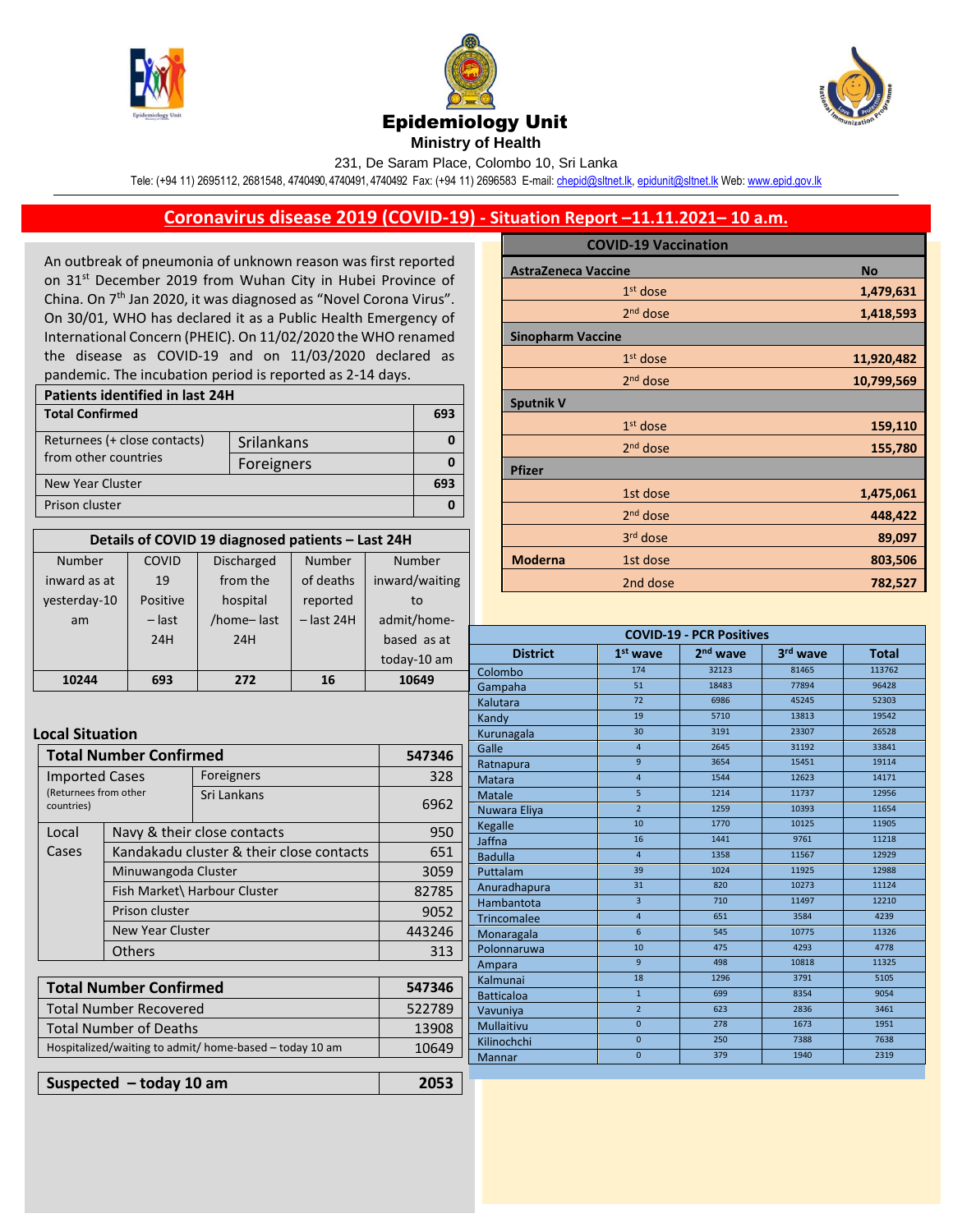





**Ministry of Health** 

231, De Saram Place, Colombo 10, Sri Lanka

Tele: (+94 11) 2695112, 2681548, 4740490, 4740491, 4740492 Fax: (+94 11) 2696583 E-mail[: chepid@sltnet.lk,](mailto:chepi@sltnet.lk) [epidunit@sltnet.lk](mailto:epidunit@sltnet.lk) Web[: www.epid.gov.lk](http://www.epid.gov.lk/)

## **Coronavirus disease 2019 (COVID-19) - Situation Report –11.11.2021– 10 a.m.**

An outbreak of pneumonia of unknown reason was first reported on 31<sup>st</sup> December 2019 from Wuhan City in Hubei Province of China. On 7<sup>th</sup> Jan 2020, it was diagnosed as "Novel Corona Virus". On 30/01, WHO has declared it as a Public Health Emergency of International Concern (PHEIC). On 11/02/2020 the WHO renamed the disease as COVID-19 and on 11/03/2020 declared as pandemic. The incubation period is reported as 2-14 days.

| <b>Patients identified in last 24H</b> |            |     |  |
|----------------------------------------|------------|-----|--|
| <b>Total Confirmed</b>                 |            | 693 |  |
| Returnees (+ close contacts)           | Srilankans |     |  |
| from other countries                   | Foreigners |     |  |
| New Year Cluster                       |            |     |  |
| Prison cluster                         |            |     |  |

| Details of COVID 19 diagnosed patients - Last 24H |          |                   |              |                |
|---------------------------------------------------|----------|-------------------|--------------|----------------|
| Number                                            | COVID    | <b>Discharged</b> | Number       | Number         |
| inward as at                                      | 19       | from the          | of deaths    | inward/waiting |
| yesterday-10                                      | Positive | hospital          | reported     | to             |
| am                                                | $-$ last | /home-last        | $-$ last 24H | admit/home-    |
|                                                   | 24H      | 24H               |              | based as at    |
|                                                   |          |                   |              | today-10 am    |
| 10244                                             | 693      | 272               | 16           | 10649          |

## **Local Situation**

| Total Number Confirmed                                  |                              |                                          | 547346 |
|---------------------------------------------------------|------------------------------|------------------------------------------|--------|
| <b>Imported Cases</b>                                   |                              | Foreigners                               | 328    |
| (Returnees from other<br>countries)                     |                              | Sri Lankans                              | 6962   |
| Local                                                   | Navy & their close contacts  |                                          | 950    |
| Cases                                                   |                              | Kandakadu cluster & their close contacts | 651    |
|                                                         | Minuwangoda Cluster          |                                          | 3059   |
|                                                         | Fish Market\ Harbour Cluster |                                          | 82785  |
|                                                         | Prison cluster               |                                          | 9052   |
|                                                         | New Year Cluster             |                                          | 443246 |
|                                                         | Others                       |                                          | 313    |
|                                                         |                              |                                          |        |
| <b>Total Number Confirmed</b>                           |                              |                                          | 547346 |
| <b>Total Number Recovered</b>                           |                              | 522789                                   |        |
| Total Number of Deaths                                  |                              | 13908                                    |        |
| Hospitalized/waiting to admit/ home-based – today 10 am |                              |                                          | 10649  |

| Suspected $-$ today 10 am | 2053 |
|---------------------------|------|
|---------------------------|------|

|                            | <b>COVID-19 Vaccination</b> |            |
|----------------------------|-----------------------------|------------|
| <b>AstraZeneca Vaccine</b> |                             | <b>No</b>  |
|                            | $1st$ dose                  | 1,479,631  |
|                            | 2 <sup>nd</sup> dose        | 1,418,593  |
| <b>Sinopharm Vaccine</b>   |                             |            |
|                            | $1st$ dose                  | 11,920,482 |
|                            | $2nd$ dose                  | 10,799,569 |
| <b>Sputnik V</b>           |                             |            |
|                            | $1st$ dose                  | 159,110    |
|                            | $2nd$ dose                  | 155,780    |
| <b>Pfizer</b>              |                             |            |
|                            | 1st dose                    | 1,475,061  |
|                            | 2 <sup>nd</sup> dose        | 448,422    |
|                            | 3rd dose                    | 89,097     |
| <b>Moderna</b>             | 1st dose                    | 803,506    |
|                            | 2nd dose                    | 782,527    |

| <b>COVID-19 - PCR Positives</b> |                 |                      |          |              |
|---------------------------------|-----------------|----------------------|----------|--------------|
| <b>District</b>                 | $1st$ wave      | 2 <sup>nd</sup> wave | 3rd wave | <b>Total</b> |
| Colombo                         | 174             | 32123                | 81465    | 113762       |
| Gampaha                         | 51              | 18483                | 77894    | 96428        |
| Kalutara                        | 72              | 6986                 | 45245    | 52303        |
| Kandy                           | 19              | 5710                 | 13813    | 19542        |
| Kurunagala                      | 30              | 3191                 | 23307    | 26528        |
| Galle                           | $\overline{4}$  | 2645                 | 31192    | 33841        |
| Ratnapura                       | $\overline{9}$  | 3654                 | 15451    | 19114        |
| <b>Matara</b>                   | $\overline{4}$  | 1544                 | 12623    | 14171        |
| <b>Matale</b>                   | $\overline{5}$  | 1214                 | 11737    | 12956        |
| Nuwara Eliya                    | $\overline{2}$  | 1259                 | 10393    | 11654        |
| Kegalle                         | 10              | 1770                 | 10125    | 11905        |
| Jaffna                          | 16              | 1441                 | 9761     | 11218        |
| <b>Badulla</b>                  | $\overline{a}$  | 1358                 | 11567    | 12929        |
| Puttalam                        | 39              | 1024                 | 11925    | 12988        |
| Anuradhapura                    | 31              | 820                  | 10273    | 11124        |
| Hambantota                      | $\overline{3}$  | 710                  | 11497    | 12210        |
| <b>Trincomalee</b>              | $\overline{4}$  | 651                  | 3584     | 4239         |
| Monaragala                      | $6\overline{6}$ | 545                  | 10775    | 11326        |
| Polonnaruwa                     | 10              | 475                  | 4293     | 4778         |
| Ampara                          | $\mathbf{q}$    | 498                  | 10818    | 11325        |
| Kalmunai                        | 18              | 1296                 | 3791     | 5105         |
| <b>Batticaloa</b>               | $\mathbf{1}$    | 699                  | 8354     | 9054         |
| Vavuniya                        | $\overline{2}$  | 623                  | 2836     | 3461         |
| Mullaitivu                      | $\Omega$        | 278                  | 1673     | 1951         |
| Kilinochchi                     | $\overline{0}$  | 250                  | 7388     | 7638         |
| Mannar                          | $\overline{0}$  | 379                  | 1940     | 2319         |